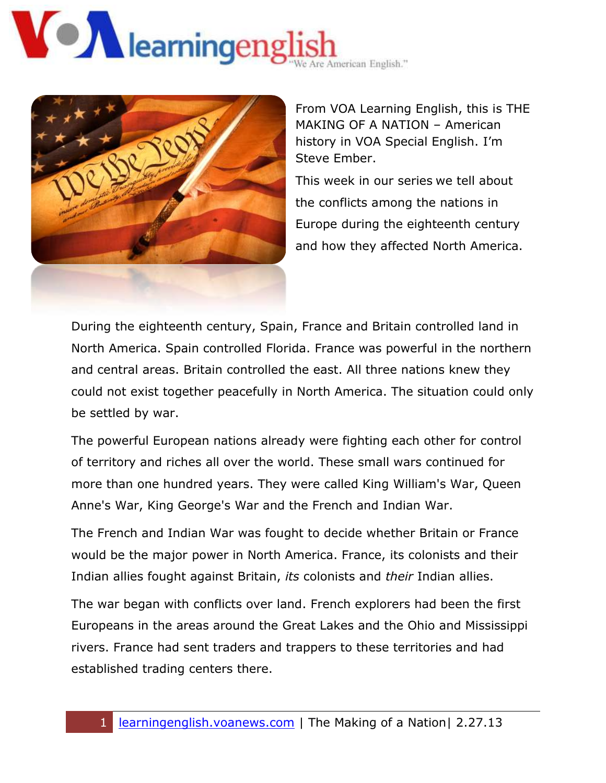# Nearningeng American English."



From VOA Learning English, this is THE MAKING OF A NATION – American history in VOA Special English. I'm Steve Ember.

This week in our series we tell about the conflicts among the nations in Europe during the eighteenth century and how they affected North America.

During the eighteenth century, Spain, France and Britain controlled land in North America. Spain controlled Florida. France was powerful in the northern and central areas. Britain controlled the east. All three nations knew they could not exist together peacefully in North America. The situation could only be settled by war.

The powerful European nations already were fighting each other for control of territory and riches all over the world. These small wars continued for more than one hundred years. They were called King William's War, Queen Anne's War, King George's War and the French and Indian War.

The French and Indian War was fought to decide whether Britain or France would be the major power in North America. France, its colonists and their Indian allies fought against Britain, *its* colonists and *their* Indian allies.

The war began with conflicts over land. French explorers had been the first Europeans in the areas around the Great Lakes and the Ohio and Mississippi rivers. France had sent traders and trappers to these territories and had established trading centers there.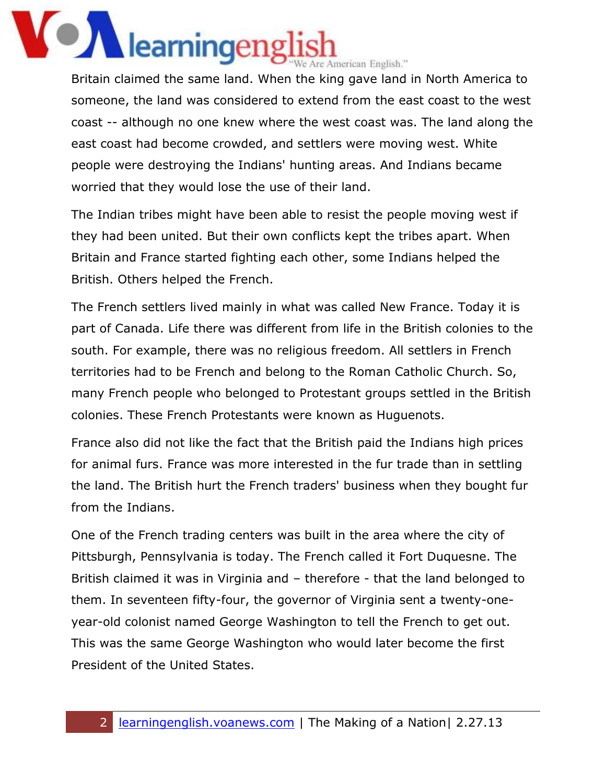#### **OZ** learningeng e Are American English."

Britain claimed the same land. When the king gave land in North America to someone, the land was considered to extend from the east coast to the west coast -- although no one knew where the west coast was. The land along the east coast had become crowded, and settlers were moving west. White people were destroying the Indians' hunting areas. And Indians became worried that they would lose the use of their land.

The Indian tribes might have been able to resist the people moving west if they had been united. But their own conflicts kept the tribes apart. When Britain and France started fighting each other, some Indians helped the British. Others helped the French.

The French settlers lived mainly in what was called New France. Today it is part of Canada. Life there was different from life in the British colonies to the south. For example, there was no religious freedom. All settlers in French territories had to be French and belong to the Roman Catholic Church. So, many French people who belonged to Protestant groups settled in the British colonies. These French Protestants were known as Huguenots.

France also did not like the fact that the British paid the Indians high prices for animal furs. France was more interested in the fur trade than in settling the land. The British hurt the French traders' business when they bought fur from the Indians.

One of the French trading centers was built in the area where the city of Pittsburgh, Pennsylvania is today. The French called it Fort Duquesne. The British claimed it was in Virginia and – therefore - that the land belonged to them. In seventeen fifty-four, the governor of Virginia sent a twenty-oneyear-old colonist named George Washington to tell the French to get out. This was the same George Washington who would later become the first President of the United States.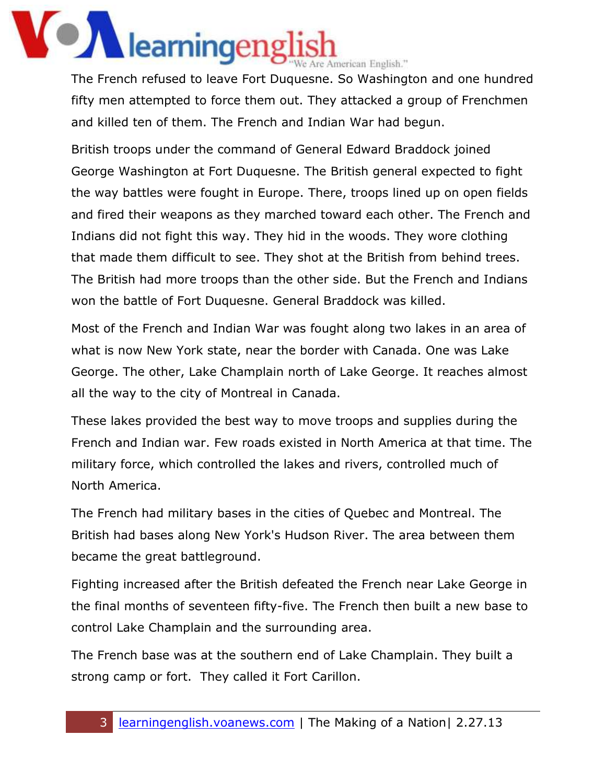### **ON** learningengl Ve Are American English."

The French refused to leave Fort Duquesne. So Washington and one hundred fifty men attempted to force them out. They attacked a group of Frenchmen and killed ten of them. The French and Indian War had begun.

British troops under the command of General Edward Braddock joined George Washington at Fort Duquesne. The British general expected to fight the way battles were fought in Europe. There, troops lined up on open fields and fired their weapons as they marched toward each other. The French and Indians did not fight this way. They hid in the woods. They wore clothing that made them difficult to see. They shot at the British from behind trees. The British had more troops than the other side. But the French and Indians won the battle of Fort Duquesne. General Braddock was killed.

Most of the French and Indian War was fought along two lakes in an area of what is now New York state, near the border with Canada. One was Lake George. The other, Lake Champlain north of Lake George. It reaches almost all the way to the city of Montreal in Canada.

These lakes provided the best way to move troops and supplies during the French and Indian war. Few roads existed in North America at that time. The military force, which controlled the lakes and rivers, controlled much of North America.

The French had military bases in the cities of Quebec and Montreal. The British had bases along New York's Hudson River. The area between them became the great battleground.

Fighting increased after the British defeated the French near Lake George in the final months of seventeen fifty-five. The French then built a new base to control Lake Champlain and the surrounding area.

The French base was at the southern end of Lake Champlain. They built a strong camp or fort. They called it Fort Carillon.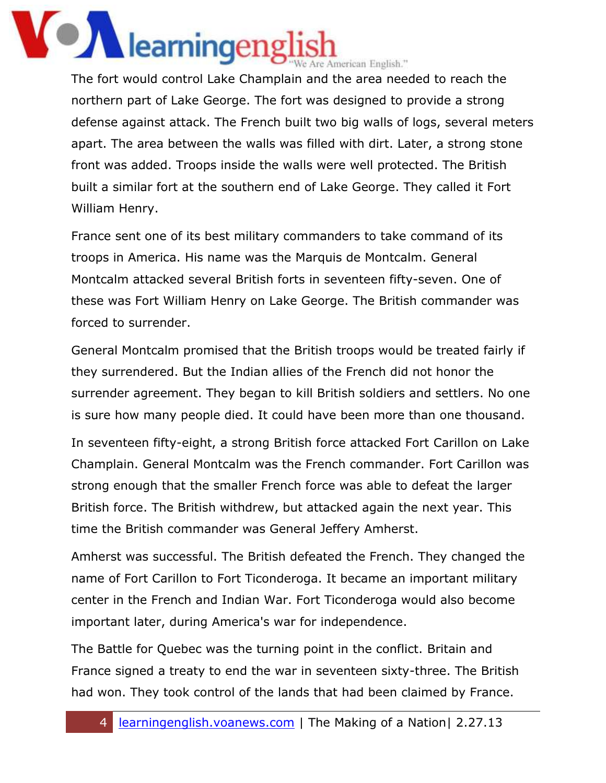# **ON** learningeng e Are American English."

The fort would control Lake Champlain and the area needed to reach the northern part of Lake George. The fort was designed to provide a strong defense against attack. The French built two big walls of logs, several meters apart. The area between the walls was filled with dirt. Later, a strong stone front was added. Troops inside the walls were well protected. The British built a similar fort at the southern end of Lake George. They called it Fort William Henry.

France sent one of its best military commanders to take command of its troops in America. His name was the Marquis de Montcalm. General Montcalm attacked several British forts in seventeen fifty-seven. One of these was Fort William Henry on Lake George. The British commander was forced to surrender.

General Montcalm promised that the British troops would be treated fairly if they surrendered. But the Indian allies of the French did not honor the surrender agreement. They began to kill British soldiers and settlers. No one is sure how many people died. It could have been more than one thousand.

In seventeen fifty-eight, a strong British force attacked Fort Carillon on Lake Champlain. General Montcalm was the French commander. Fort Carillon was strong enough that the smaller French force was able to defeat the larger British force. The British withdrew, but attacked again the next year. This time the British commander was General Jeffery Amherst.

Amherst was successful. The British defeated the French. They changed the name of Fort Carillon to Fort Ticonderoga. It became an important military center in the French and Indian War. Fort Ticonderoga would also become important later, during America's war for independence.

The Battle for Quebec was the turning point in the conflict. Britain and France signed a treaty to end the war in seventeen sixty-three. The British had won. They took control of the lands that had been claimed by France.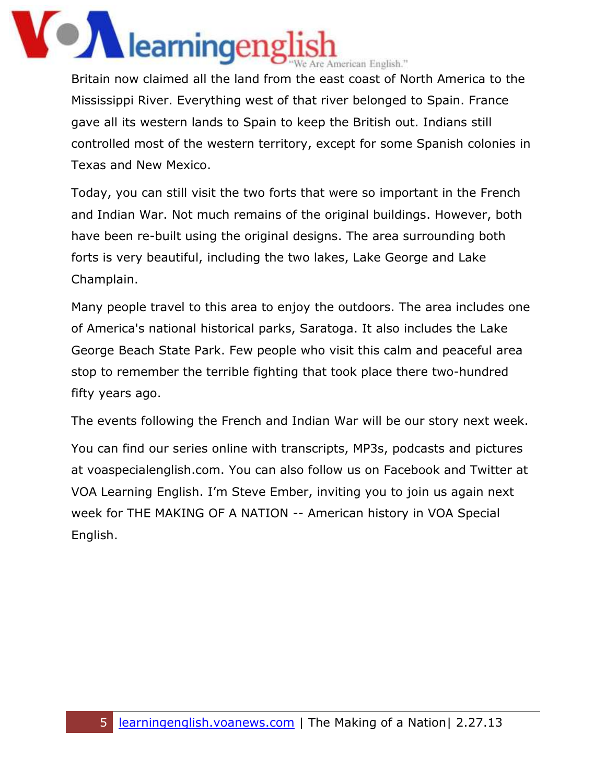### **OZ** learningeng Are American English."

Britain now claimed all the land from the east coast of North America to the Mississippi River. Everything west of that river belonged to Spain. France gave all its western lands to Spain to keep the British out. Indians still controlled most of the western territory, except for some Spanish colonies in Texas and New Mexico.

Today, you can still visit the two forts that were so important in the French and Indian War. Not much remains of the original buildings. However, both have been re-built using the original designs. The area surrounding both forts is very beautiful, including the two lakes, Lake George and Lake Champlain.

Many people travel to this area to enjoy the outdoors. The area includes one of America's national historical parks, Saratoga. It also includes the Lake George Beach State Park. Few people who visit this calm and peaceful area stop to remember the terrible fighting that took place there two-hundred fifty years ago.

The events following the French and Indian War will be our story next week.

You can find our series online with transcripts, MP3s, podcasts and pictures at voaspecialenglish.com. You can also follow us on Facebook and Twitter at VOA Learning English. I'm Steve Ember, inviting you to join us again next week for THE MAKING OF A NATION -- American history in VOA Special English.